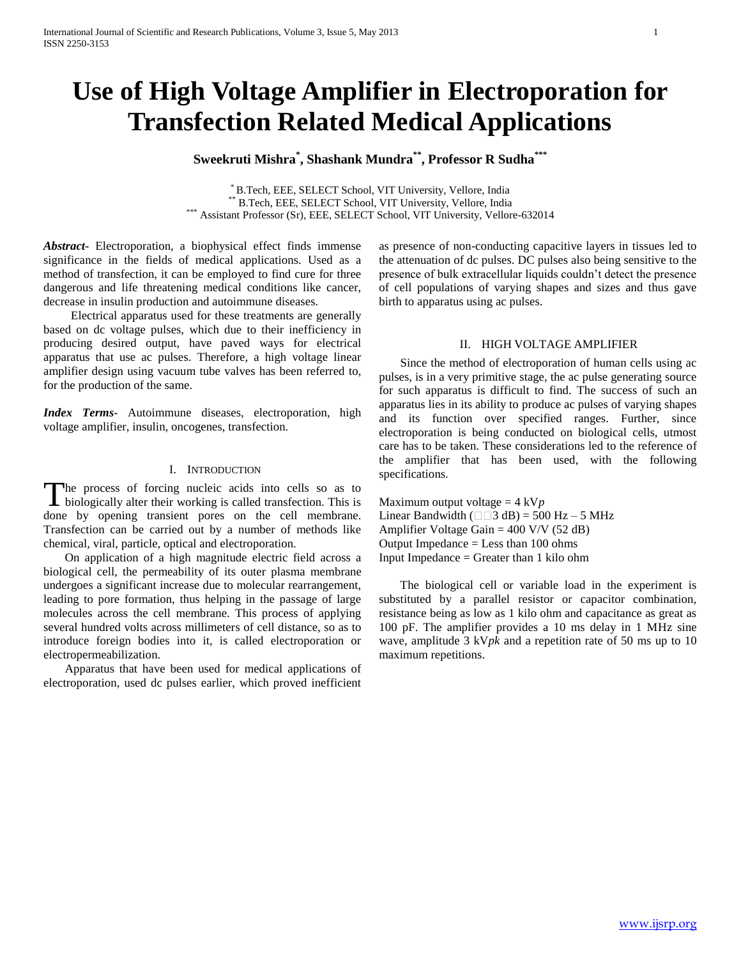# **Use of High Voltage Amplifier in Electroporation for Transfection Related Medical Applications**

# **Sweekruti Mishra\* , Shashank Mundra\*\* , Professor R Sudha\*\*\***

\* B.Tech, EEE, SELECT School, VIT University, Vellore, India \*\* B.Tech, EEE, SELECT School, VIT University, Vellore, India \*\*\* Assistant Professor (Sr), EEE, SELECT School, VIT University, Vellore-632014

*Abstract***-** Electroporation, a biophysical effect finds immense significance in the fields of medical applications. Used as a method of transfection, it can be employed to find cure for three dangerous and life threatening medical conditions like cancer, decrease in insulin production and autoimmune diseases.

 Electrical apparatus used for these treatments are generally based on dc voltage pulses, which due to their inefficiency in producing desired output, have paved ways for electrical apparatus that use ac pulses. Therefore, a high voltage linear amplifier design using vacuum tube valves has been referred to, for the production of the same.

*Index Terms*- Autoimmune diseases, electroporation, high voltage amplifier, insulin, oncogenes, transfection.

## I. INTRODUCTION

The process of forcing nucleic acids into cells so as to The process of forcing nucleic acids into cells so as to biologically alter their working is called transfection. This is done by opening transient pores on the cell membrane. Transfection can be carried out by a number of methods like chemical, viral, particle, optical and electroporation.

 On application of a high magnitude electric field across a biological cell, the permeability of its outer plasma membrane undergoes a significant increase due to molecular rearrangement, leading to pore formation, thus helping in the passage of large molecules across the cell membrane. This process of applying several hundred volts across millimeters of cell distance, so as to introduce foreign bodies into it, is called electroporation or electropermeabilization.

 Apparatus that have been used for medical applications of electroporation, used dc pulses earlier, which proved inefficient as presence of non-conducting capacitive layers in tissues led to the attenuation of dc pulses. DC pulses also being sensitive to the presence of bulk extracellular liquids couldn't detect the presence of cell populations of varying shapes and sizes and thus gave birth to apparatus using ac pulses.

#### II. HIGH VOLTAGE AMPLIFIER

 Since the method of electroporation of human cells using ac pulses, is in a very primitive stage, the ac pulse generating source for such apparatus is difficult to find. The success of such an apparatus lies in its ability to produce ac pulses of varying shapes and its function over specified ranges. Further, since electroporation is being conducted on biological cells, utmost care has to be taken. These considerations led to the reference of the amplifier that has been used, with the following specifications.

Maximum output voltage = 4 kV*p* Linear Bandwidth ( $\Box$  $\Box$ 3 dB) = 500 Hz – 5 MHz Amplifier Voltage Gain = 400 V/V (52 dB) Output Impedance = Less than 100 ohms Input Impedance = Greater than 1 kilo ohm

 The biological cell or variable load in the experiment is substituted by a parallel resistor or capacitor combination, resistance being as low as 1 kilo ohm and capacitance as great as 100 pF. The amplifier provides a 10 ms delay in 1 MHz sine wave, amplitude 3 kV*pk* and a repetition rate of 50 ms up to 10 maximum repetitions.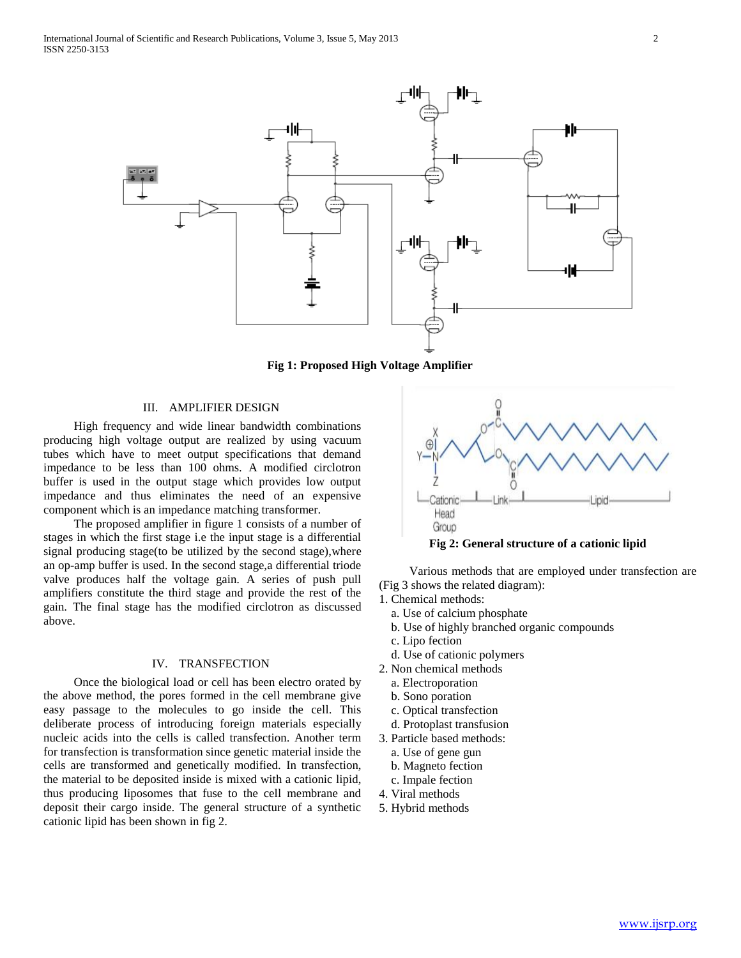

**Fig 1: Proposed High Voltage Amplifier**

### III. AMPLIFIER DESIGN

 High frequency and wide linear bandwidth combinations producing high voltage output are realized by using vacuum tubes which have to meet output specifications that demand impedance to be less than 100 ohms. A modified circlotron buffer is used in the output stage which provides low output impedance and thus eliminates the need of an expensive component which is an impedance matching transformer.

 The proposed amplifier in figure 1 consists of a number of stages in which the first stage i.e the input stage is a differential signal producing stage(to be utilized by the second stage),where an op-amp buffer is used. In the second stage,a differential triode valve produces half the voltage gain. A series of push pull amplifiers constitute the third stage and provide the rest of the gain. The final stage has the modified circlotron as discussed above.

#### IV. TRANSFECTION

 Once the biological load or cell has been electro orated by the above method, the pores formed in the cell membrane give easy passage to the molecules to go inside the cell. This deliberate process of introducing foreign materials especially nucleic acids into the cells is called transfection. Another term for transfection is transformation since genetic material inside the cells are transformed and genetically modified. In transfection, the material to be deposited inside is mixed with a cationic lipid, thus producing liposomes that fuse to the cell membrane and deposit their cargo inside. The general structure of a synthetic cationic lipid has been shown in fig 2.



 Various methods that are employed under transfection are (Fig 3 shows the related diagram):

1. Chemical methods:

- a. Use of calcium phosphate
- b. Use of highly branched organic compounds
- c. Lipo fection
- d. Use of cationic polymers
- 2. Non chemical methods
	- a. Electroporation
	- b. Sono poration
	- c. Optical transfection
	- d. Protoplast transfusion
- 3. Particle based methods:
	- a. Use of gene gun
	- b. Magneto fection
	- c. Impale fection
- 4. Viral methods
- 5. Hybrid methods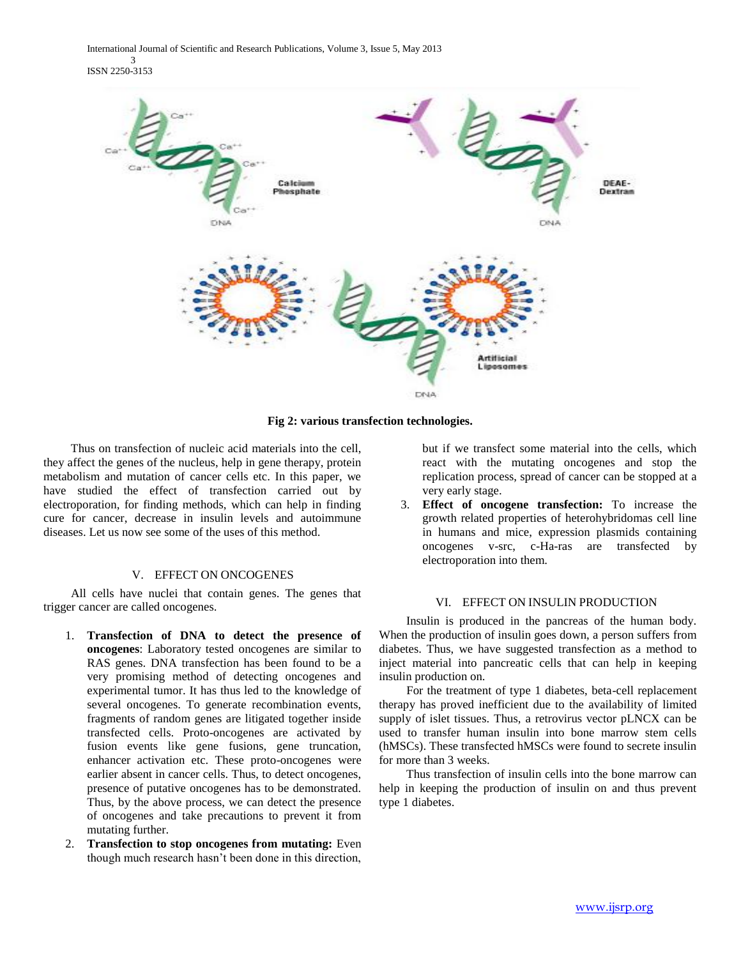International Journal of Scientific and Research Publications, Volume 3, Issue 5, May 2013 3 ISSN 2250-3153



**Fig 2: various transfection technologies.**

 Thus on transfection of nucleic acid materials into the cell, they affect the genes of the nucleus, help in gene therapy, protein metabolism and mutation of cancer cells etc. In this paper, we have studied the effect of transfection carried out by electroporation, for finding methods, which can help in finding cure for cancer, decrease in insulin levels and autoimmune diseases. Let us now see some of the uses of this method.

# V. EFFECT ON ONCOGENES

 All cells have nuclei that contain genes. The genes that trigger cancer are called oncogenes.

- 1. **Transfection of DNA to detect the presence of oncogenes**: Laboratory tested oncogenes are similar to RAS genes. DNA transfection has been found to be a very promising method of detecting oncogenes and experimental tumor. It has thus led to the knowledge of several oncogenes. To generate recombination events, fragments of random genes are litigated together inside transfected cells. Proto-oncogenes are activated by fusion events like gene fusions, gene truncation, enhancer activation etc. These proto-oncogenes were earlier absent in cancer cells. Thus, to detect oncogenes, presence of putative oncogenes has to be demonstrated. Thus, by the above process, we can detect the presence of oncogenes and take precautions to prevent it from mutating further.
- 2. **Transfection to stop oncogenes from mutating:** Even though much research hasn't been done in this direction,

but if we transfect some material into the cells, which react with the mutating oncogenes and stop the replication process, spread of cancer can be stopped at a very early stage.

3. **Effect of oncogene transfection:** To increase the growth related properties of heterohybridomas cell line in humans and mice, expression plasmids containing oncogenes v-src, c-Ha-ras are transfected by electroporation into them.

### VI. EFFECT ON INSULIN PRODUCTION

 Insulin is produced in the pancreas of the human body. When the production of insulin goes down, a person suffers from diabetes. Thus, we have suggested transfection as a method to inject material into pancreatic cells that can help in keeping insulin production on.

 For the treatment of type 1 diabetes, beta-cell replacement therapy has proved inefficient due to the availability of limited supply of islet tissues. Thus, a retrovirus vector pLNCX can be used to transfer human insulin into bone marrow stem cells (hMSCs). These transfected hMSCs were found to secrete insulin for more than 3 weeks.

 Thus transfection of insulin cells into the bone marrow can help in keeping the production of insulin on and thus prevent type 1 diabetes.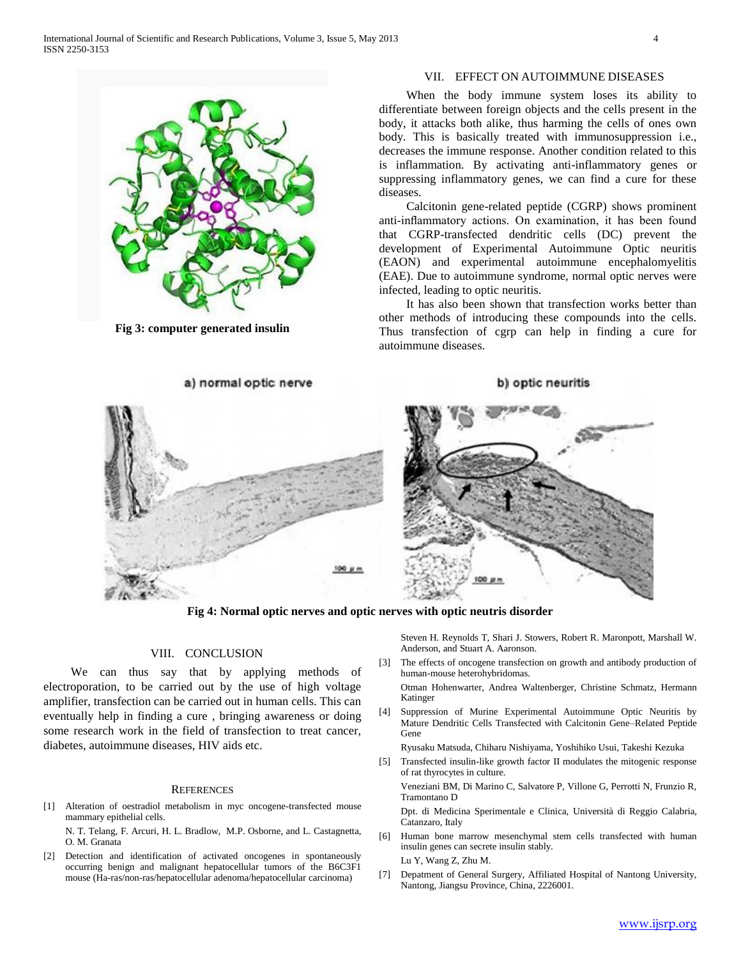

**Fig 3: computer generated insulin**

# VII. EFFECT ON AUTOIMMUNE DISEASES

 When the body immune system loses its ability to differentiate between foreign objects and the cells present in the body, it attacks both alike, thus harming the cells of ones own body. This is basically treated with immunosuppression i.e., decreases the immune response. Another condition related to this is inflammation. By activating anti-inflammatory genes or suppressing inflammatory genes, we can find a cure for these diseases.

 Calcitonin gene-related peptide (CGRP) shows prominent anti-inflammatory actions. On examination, it has been found that CGRP-transfected dendritic cells (DC) prevent the development of Experimental Autoimmune Optic neuritis (EAON) and experimental autoimmune encephalomyelitis (EAE). Due to autoimmune syndrome, normal optic nerves were infected, leading to optic neuritis.

 It has also been shown that transfection works better than other methods of introducing these compounds into the cells. Thus transfection of cgrp can help in finding a cure for autoimmune diseases.



**Fig 4: Normal optic nerves and optic nerves with optic neutris disorder**

Steven H. Reynolds T, Shari J. Stowers, Robert R. Maronpott, Marshall W. Anderson, and Stuart A. Aaronson.

[3] The effects of oncogene transfection on growth and antibody production of human-mouse heterohybridomas.

Otman Hohenwarter, Andrea Waltenberger, Christine Schmatz, Hermann Katinger

[4] Suppression of Murine Experimental Autoimmune Optic Neuritis by Mature Dendritic Cells Transfected with Calcitonin Gene–Related Peptide Gene

Ryusaku Matsuda, Chiharu Nishiyama, Yoshihiko Usui, Takeshi Kezuka

[5] Transfected insulin-like growth factor II modulates the mitogenic response of rat thyrocytes in culture.

Veneziani BM, Di Marino C, Salvatore P, Villone G, Perrotti N, Frunzio R, Tramontano D

Dpt. di Medicina Sperimentale e Clinica, Università di Reggio Calabria, Catanzaro, Italy

- [6] Human bone marrow mesenchymal stem cells transfected with human insulin genes can secrete insulin stably. Lu Y, Wang Z, Zhu M.
- [7] Depatment of General Surgery, Affiliated Hospital of Nantong University, Nantong, Jiangsu Province, China, 2226001.

VIII. CONCLUSION

 We can thus say that by applying methods of electroporation, to be carried out by the use of high voltage amplifier, transfection can be carried out in human cells. This can eventually help in finding a cure , bringing awareness or doing some research work in the field of transfection to treat cancer, diabetes, autoimmune diseases, HIV aids etc.

#### **REFERENCES**

[1] Alteration of oestradiol metabolism in myc oncogene-transfected mouse mammary epithelial cells.

N. T. Telang, F. Arcuri, H. L. Bradlow, M.P. Osborne, and L. Castagnetta, O. M. Granata

[2] Detection and identification of activated oncogenes in spontaneously occurring benign and malignant hepatocellular tumors of the B6C3F1 mouse (Ha-ras/non-ras/hepatocellular adenoma/hepatocellular carcinoma)